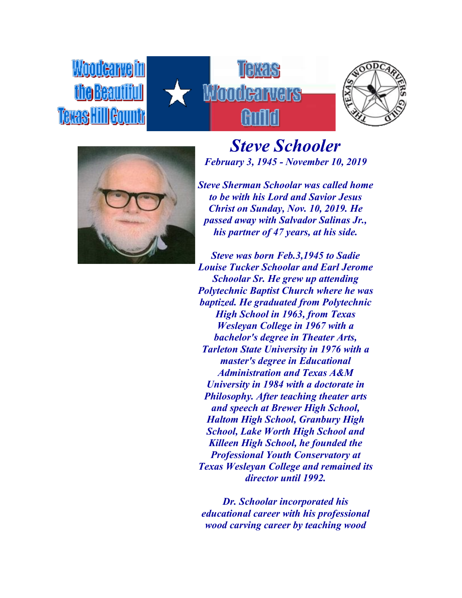## такчк Waad





Woodearvell

Teras HillGou

*Steve Schooler February 3, 1945 - November 10, 2019*

*Steve Sherman Schoolar was called home to be with his Lord and Savior Jesus Christ on Sunday, Nov. 10, 2019. He passed away with Salvador Salinas Jr., his partner of 47 years, at his side.*

*Steve was born Feb.3,1945 to Sadie Louise Tucker Schoolar and Earl Jerome Schoolar Sr. He grew up attending Polytechnic Baptist Church where he was baptized. He graduated from Polytechnic High School in 1963, from Texas Wesleyan College in 1967 with a bachelor's degree in Theater Arts, Tarleton State University in 1976 with a master's degree in Educational Administration and Texas A&M University in 1984 with a doctorate in Philosophy. After teaching theater arts and speech at Brewer High School, Haltom High School, Granbury High School, Lake Worth High School and Killeen High School, he founded the Professional Youth Conservatory at Texas Wesleyan College and remained its director until 1992.*

*Dr. Schoolar incorporated his educational career with his professional wood carving career by teaching wood*